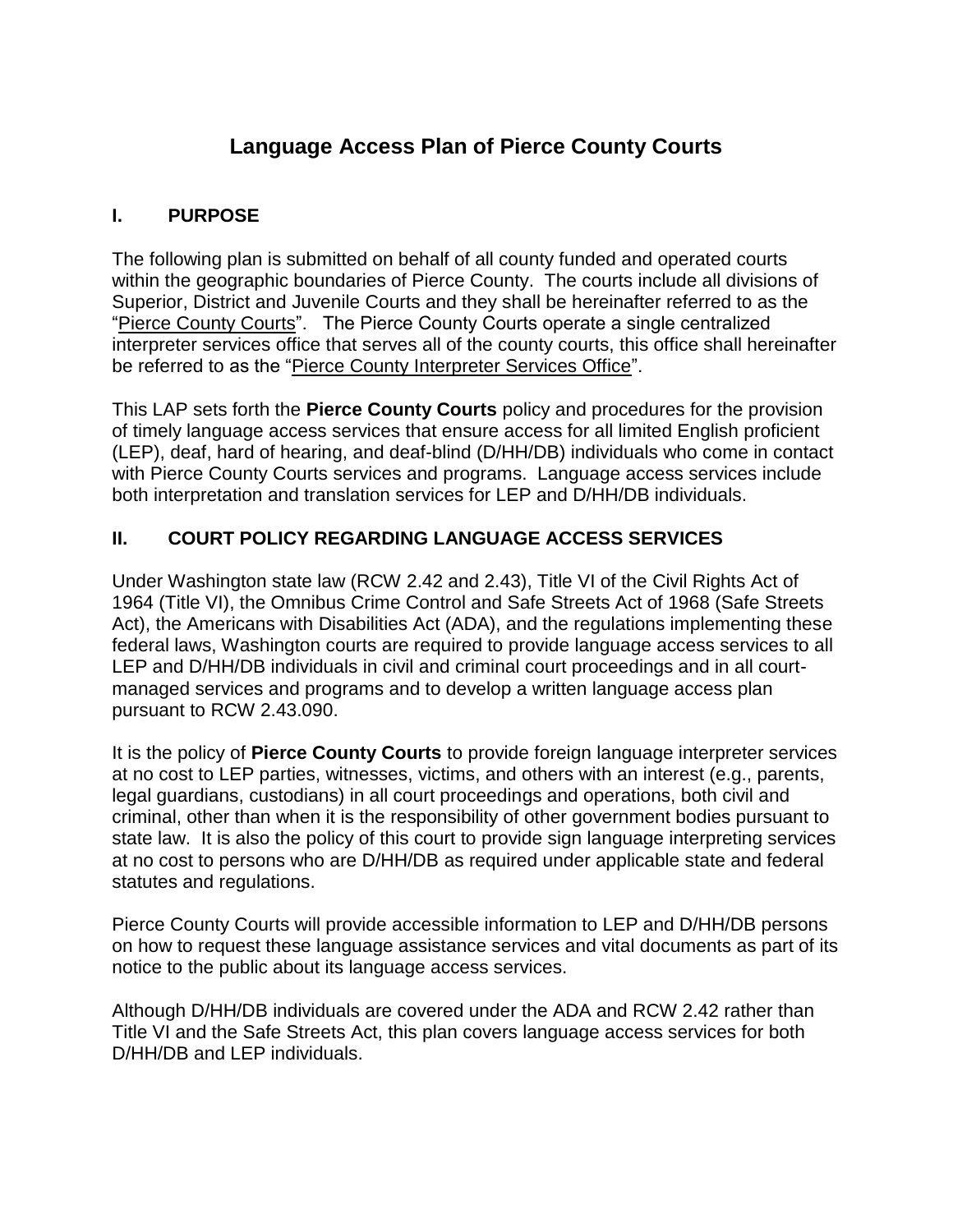# **Language Access Plan of Pierce County Courts**

### **I. PURPOSE**

The following plan is submitted on behalf of all county funded and operated courts within the geographic boundaries of Pierce County. The courts include all divisions of Superior, District and Juvenile Courts and they shall be hereinafter referred to as the "Pierce County Courts". The Pierce County Courts operate a single centralized interpreter services office that serves all of the county courts, this office shall hereinafter be referred to as the "Pierce County Interpreter Services Office".

This LAP sets forth the **Pierce County Courts** policy and procedures for the provision of timely language access services that ensure access for all limited English proficient (LEP), deaf, hard of hearing, and deaf-blind (D/HH/DB) individuals who come in contact with Pierce County Courts services and programs. Language access services include both interpretation and translation services for LEP and D/HH/DB individuals.

## **II. COURT POLICY REGARDING LANGUAGE ACCESS SERVICES**

Under Washington state law (RCW 2.42 and 2.43), Title VI of the Civil Rights Act of 1964 (Title VI), the Omnibus Crime Control and Safe Streets Act of 1968 (Safe Streets Act), the Americans with Disabilities Act (ADA), and the regulations implementing these federal laws, Washington courts are required to provide language access services to all LEP and D/HH/DB individuals in civil and criminal court proceedings and in all courtmanaged services and programs and to develop a written language access plan pursuant to RCW 2.43.090.

It is the policy of **Pierce County Courts** to provide foreign language interpreter services at no cost to LEP parties, witnesses, victims, and others with an interest (e.g., parents, legal guardians, custodians) in all court proceedings and operations, both civil and criminal, other than when it is the responsibility of other government bodies pursuant to state law. It is also the policy of this court to provide sign language interpreting services at no cost to persons who are D/HH/DB as required under applicable state and federal statutes and regulations.

Pierce County Courts will provide accessible information to LEP and D/HH/DB persons on how to request these language assistance services and vital documents as part of its notice to the public about its language access services.

Although D/HH/DB individuals are covered under the ADA and RCW 2.42 rather than Title VI and the Safe Streets Act, this plan covers language access services for both D/HH/DB and LEP individuals.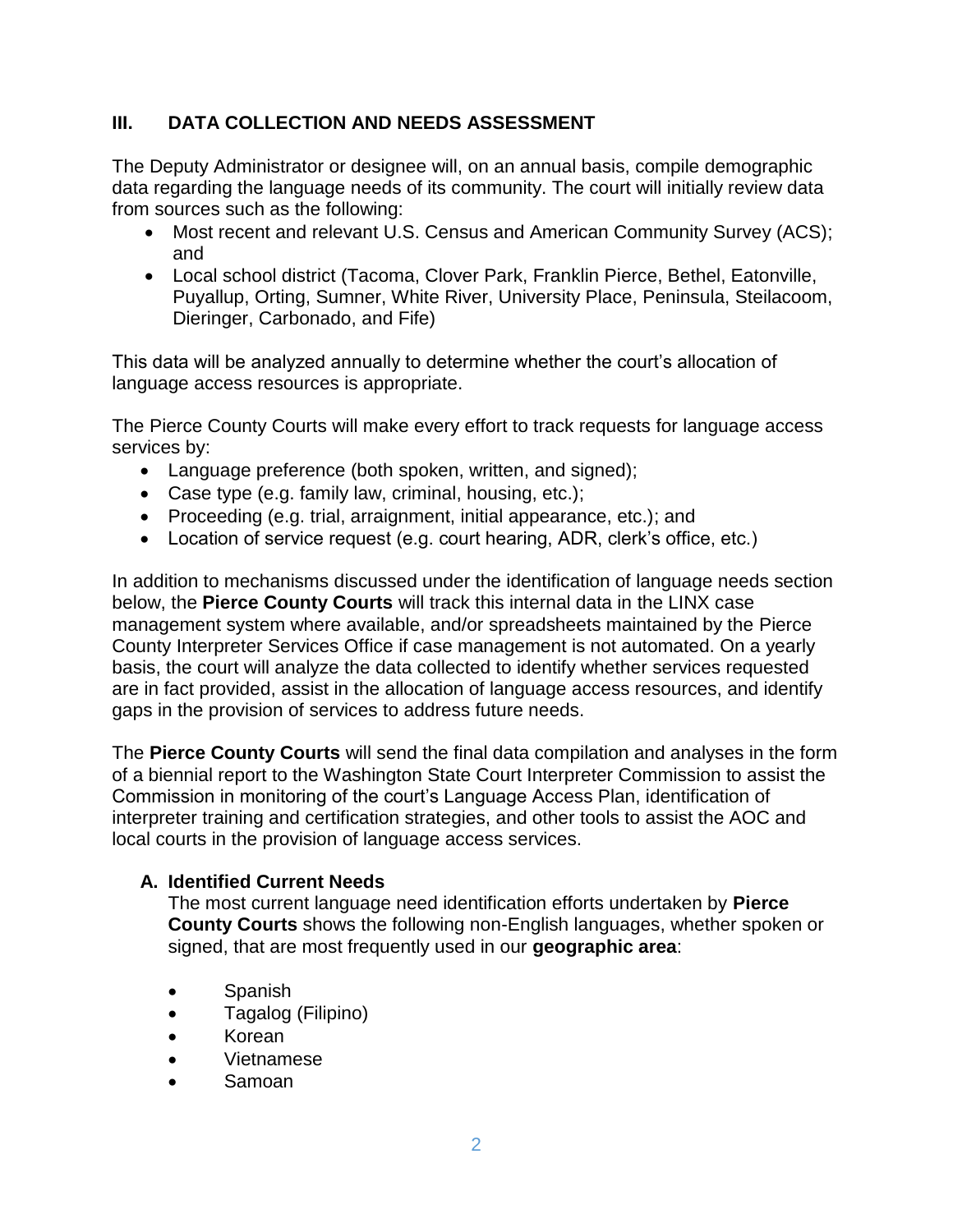### **III. DATA COLLECTION AND NEEDS ASSESSMENT**

The Deputy Administrator or designee will, on an annual basis, compile demographic data regarding the language needs of its community. The court will initially review data from sources such as the following:

- Most recent and relevant U.S. Census and American Community Survey (ACS); and
- Local school district (Tacoma, Clover Park, Franklin Pierce, Bethel, Eatonville, Puyallup, Orting, Sumner, White River, University Place, Peninsula, Steilacoom, Dieringer, Carbonado, and Fife)

This data will be analyzed annually to determine whether the court's allocation of language access resources is appropriate.

The Pierce County Courts will make every effort to track requests for language access services by:

- Language preference (both spoken, written, and signed);
- Case type (e.g. family law, criminal, housing, etc.);
- Proceeding (e.g. trial, arraignment, initial appearance, etc.); and
- Location of service request (e.g. court hearing, ADR, clerk's office, etc.)

In addition to mechanisms discussed under the identification of language needs section below, the **Pierce County Courts** will track this internal data in the LINX case management system where available, and/or spreadsheets maintained by the Pierce County Interpreter Services Office if case management is not automated. On a yearly basis, the court will analyze the data collected to identify whether services requested are in fact provided, assist in the allocation of language access resources, and identify gaps in the provision of services to address future needs.

The **Pierce County Courts** will send the final data compilation and analyses in the form of a biennial report to the Washington State Court Interpreter Commission to assist the Commission in monitoring of the court's Language Access Plan, identification of interpreter training and certification strategies, and other tools to assist the AOC and local courts in the provision of language access services.

#### **A. Identified Current Needs**

The most current language need identification efforts undertaken by **Pierce County Courts** shows the following non-English languages, whether spoken or signed, that are most frequently used in our **geographic area**:

- Spanish
- Tagalog (Filipino)
- Korean
- Vietnamese
- Samoan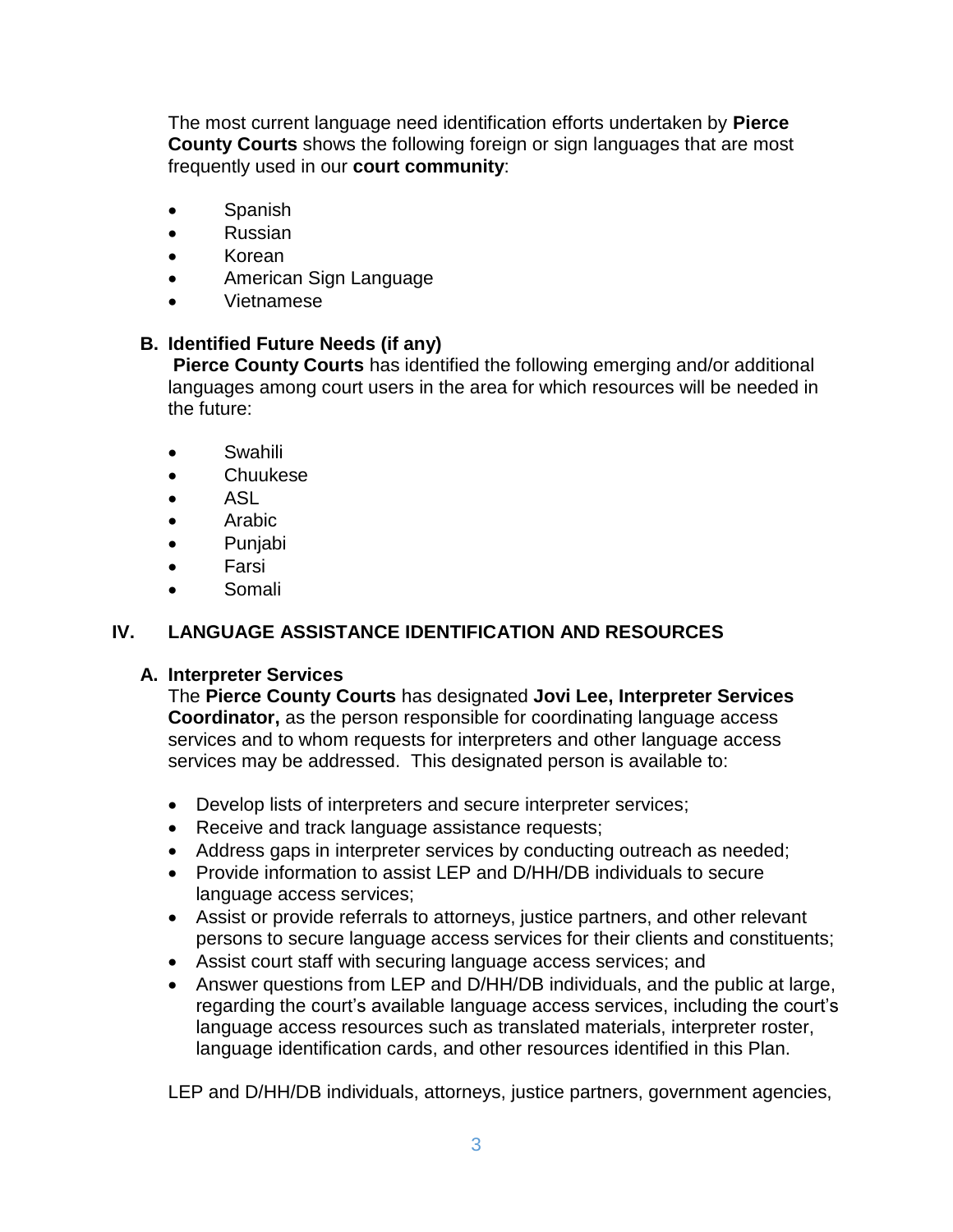The most current language need identification efforts undertaken by **Pierce County Courts** shows the following foreign or sign languages that are most frequently used in our **court community**:

- Spanish
- Russian
- Korean
- American Sign Language
- Vietnamese

### **B. Identified Future Needs (if any)**

**Pierce County Courts** has identified the following emerging and/or additional languages among court users in the area for which resources will be needed in the future:

- Swahili
- Chuukese
- ASL
- Arabic
- Punjabi
- **Farsi**
- Somali

### **IV. LANGUAGE ASSISTANCE IDENTIFICATION AND RESOURCES**

#### **A. Interpreter Services**

The **Pierce County Courts** has designated **Jovi Lee, Interpreter Services Coordinator,** as the person responsible for coordinating language access services and to whom requests for interpreters and other language access services may be addressed. This designated person is available to:

- Develop lists of interpreters and secure interpreter services;
- Receive and track language assistance requests;
- Address gaps in interpreter services by conducting outreach as needed;
- Provide information to assist LEP and D/HH/DB individuals to secure language access services;
- Assist or provide referrals to attorneys, justice partners, and other relevant persons to secure language access services for their clients and constituents;
- Assist court staff with securing language access services; and
- Answer questions from LEP and D/HH/DB individuals, and the public at large, regarding the court's available language access services, including the court's language access resources such as translated materials, interpreter roster, language identification cards, and other resources identified in this Plan.

LEP and D/HH/DB individuals, attorneys, justice partners, government agencies,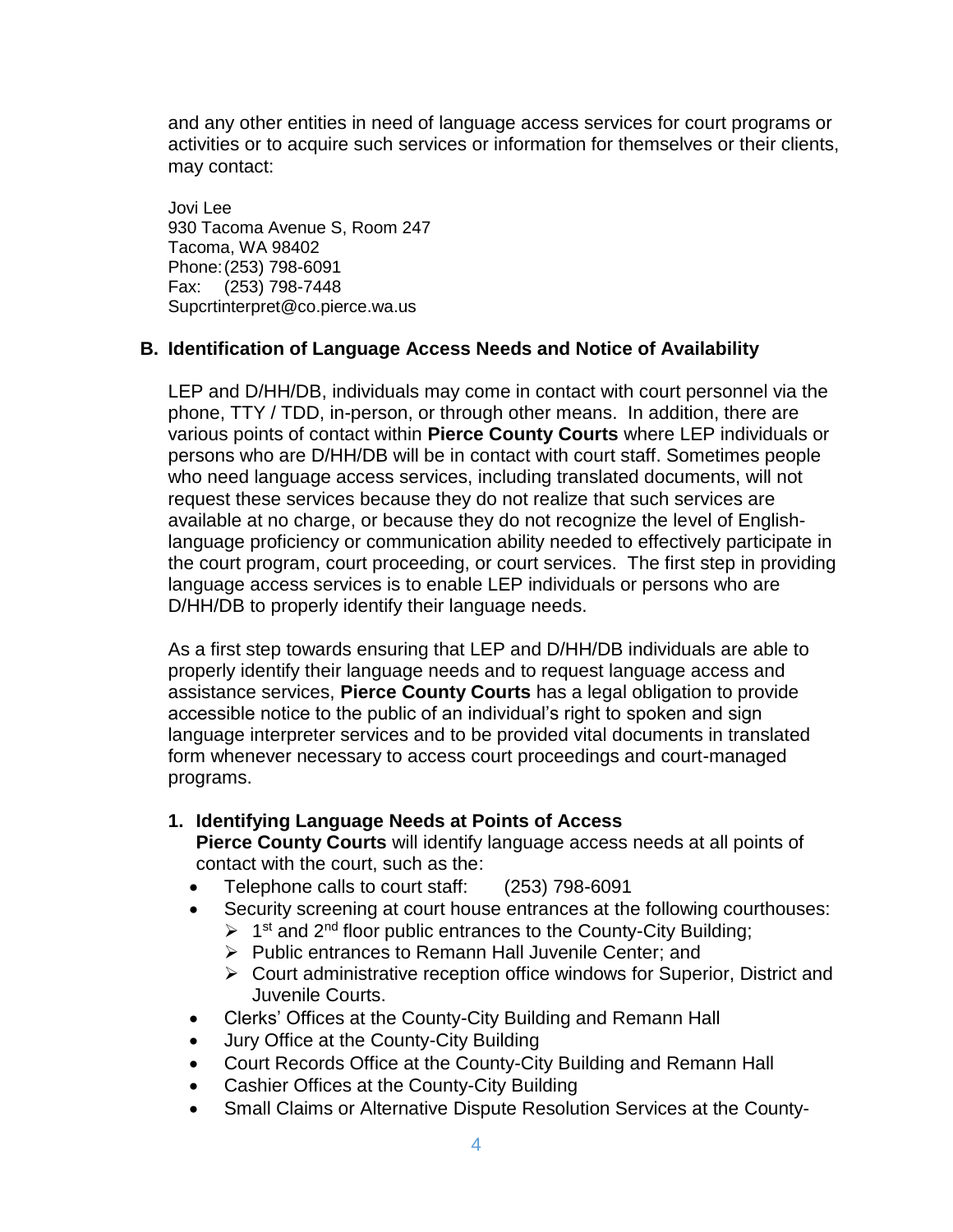and any other entities in need of language access services for court programs or activities or to acquire such services or information for themselves or their clients, may contact:

Jovi Lee 930 Tacoma Avenue S, Room 247 Tacoma, WA 98402 Phone:(253) 798-6091 Fax: (253) 798-7448 Supcrtinterpret@co.pierce.wa.us

#### **B. Identification of Language Access Needs and Notice of Availability**

LEP and D/HH/DB, individuals may come in contact with court personnel via the phone, TTY / TDD, in-person, or through other means. In addition, there are various points of contact within **Pierce County Courts** where LEP individuals or persons who are D/HH/DB will be in contact with court staff. Sometimes people who need language access services, including translated documents, will not request these services because they do not realize that such services are available at no charge, or because they do not recognize the level of Englishlanguage proficiency or communication ability needed to effectively participate in the court program, court proceeding, or court services. The first step in providing language access services is to enable LEP individuals or persons who are D/HH/DB to properly identify their language needs.

As a first step towards ensuring that LEP and D/HH/DB individuals are able to properly identify their language needs and to request language access and assistance services, **Pierce County Courts** has a legal obligation to provide accessible notice to the public of an individual's right to spoken and sign language interpreter services and to be provided vital documents in translated form whenever necessary to access court proceedings and court-managed programs.

#### **1. Identifying Language Needs at Points of Access**

**Pierce County Courts** will identify language access needs at all points of contact with the court, such as the:

- Telephone calls to court staff: (253) 798-6091
- Security screening at court house entrances at the following courthouses:
	- $\triangleright$  1<sup>st</sup> and 2<sup>nd</sup> floor public entrances to the County-City Building;
	- ➢ Public entrances to Remann Hall Juvenile Center; and
	- ➢ Court administrative reception office windows for Superior, District and Juvenile Courts.
- Clerks' Offices at the County-City Building and Remann Hall
- Jury Office at the County-City Building
- Court Records Office at the County-City Building and Remann Hall
- Cashier Offices at the County-City Building
- Small Claims or Alternative Dispute Resolution Services at the County-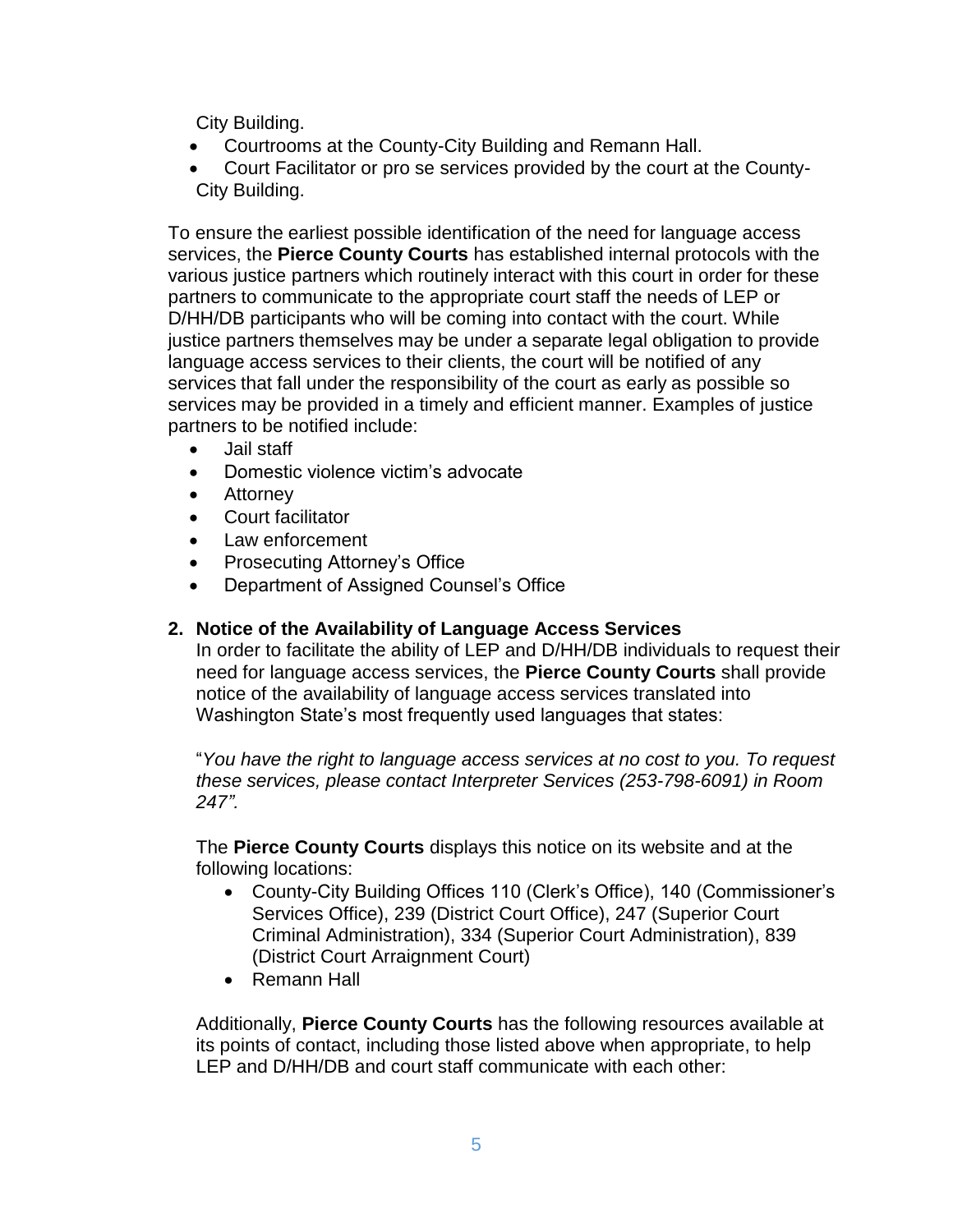City Building.

- Courtrooms at the County-City Building and Remann Hall.
- Court Facilitator or pro se services provided by the court at the County-City Building.

To ensure the earliest possible identification of the need for language access services, the **Pierce County Courts** has established internal protocols with the various justice partners which routinely interact with this court in order for these partners to communicate to the appropriate court staff the needs of LEP or D/HH/DB participants who will be coming into contact with the court. While justice partners themselves may be under a separate legal obligation to provide language access services to their clients, the court will be notified of any services that fall under the responsibility of the court as early as possible so services may be provided in a timely and efficient manner. Examples of justice partners to be notified include:

- Jail staff
- Domestic violence victim's advocate
- Attorney
- Court facilitator
- Law enforcement
- Prosecuting Attorney's Office
- Department of Assigned Counsel's Office

#### **2. Notice of the Availability of Language Access Services**

In order to facilitate the ability of LEP and D/HH/DB individuals to request their need for language access services, the **Pierce County Courts** shall provide notice of the availability of language access services translated into Washington State's most frequently used languages that states:

"*You have the right to language access services at no cost to you. To request these services, please contact Interpreter Services (253-798-6091) in Room 247".*

The **Pierce County Courts** displays this notice on its website and at the following locations:

- County-City Building Offices 110 (Clerk's Office), 140 (Commissioner's Services Office), 239 (District Court Office), 247 (Superior Court Criminal Administration), 334 (Superior Court Administration), 839 (District Court Arraignment Court)
- Remann Hall

Additionally, **Pierce County Courts** has the following resources available at its points of contact, including those listed above when appropriate, to help LEP and D/HH/DB and court staff communicate with each other: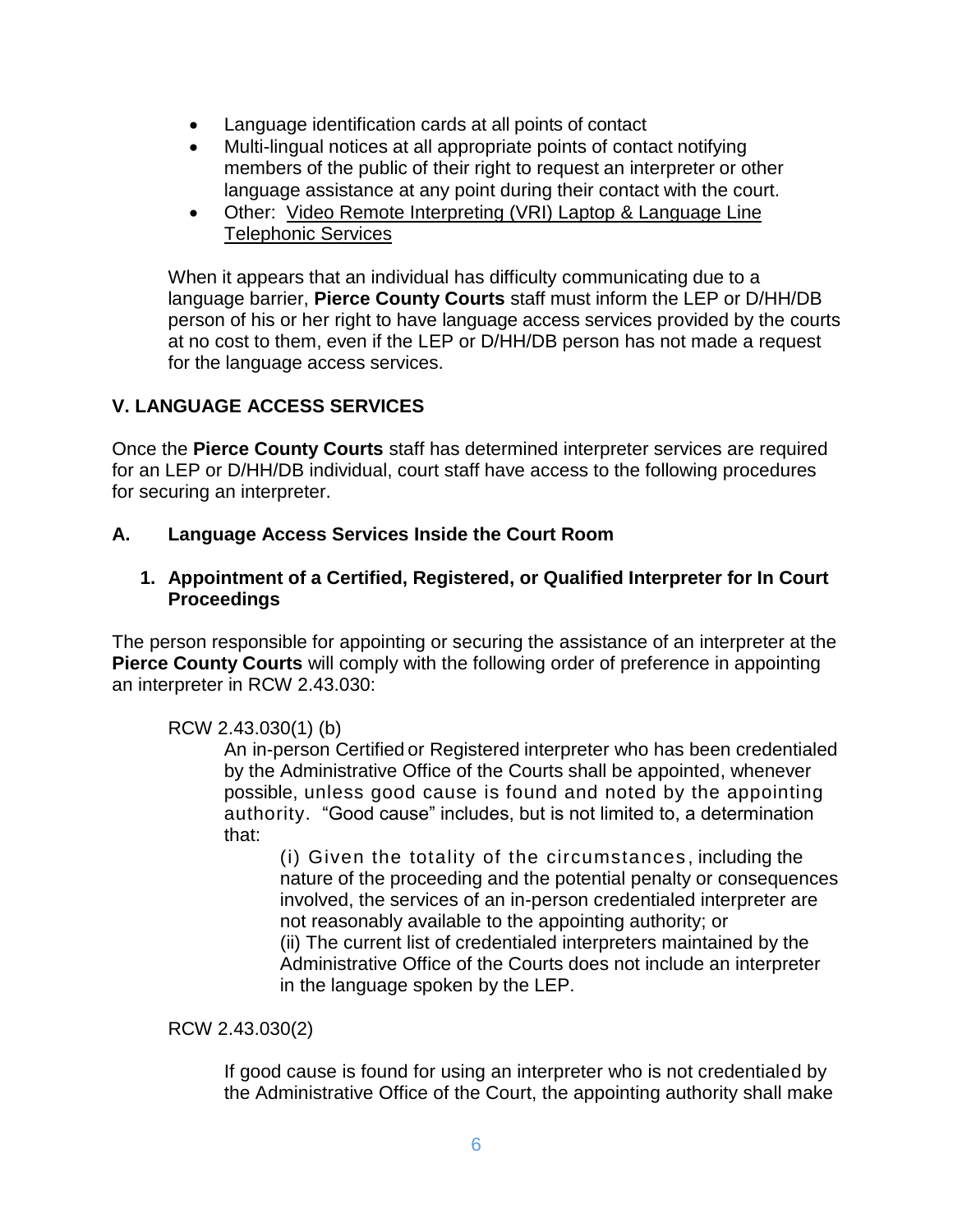- Language identification cards at all points of contact
- Multi-lingual notices at all appropriate points of contact notifying members of the public of their right to request an interpreter or other language assistance at any point during their contact with the court.
- Other: Video Remote Interpreting (VRI) Laptop & Language Line Telephonic Services

When it appears that an individual has difficulty communicating due to a language barrier, **Pierce County Courts** staff must inform the LEP or D/HH/DB person of his or her right to have language access services provided by the courts at no cost to them, even if the LEP or D/HH/DB person has not made a request for the language access services.

### **V. LANGUAGE ACCESS SERVICES**

Once the **Pierce County Courts** staff has determined interpreter services are required for an LEP or D/HH/DB individual, court staff have access to the following procedures for securing an interpreter.

### **A. Language Access Services Inside the Court Room**

#### **1. Appointment of a Certified, Registered, or Qualified Interpreter for In Court Proceedings**

The person responsible for appointing or securing the assistance of an interpreter at the **Pierce County Courts** will comply with the following order of preference in appointing an interpreter in RCW 2.43.030:

#### RCW 2.43.030(1) (b)

An in-person Certified or Registered interpreter who has been credentialed by the Administrative Office of the Courts shall be appointed, whenever possible, unless good cause is found and noted by the appointing authority. "Good cause" includes, but is not limited to, a determination that:

(i) Given the totality of the circumstances , including the nature of the proceeding and the potential penalty or consequences involved, the services of an in-person credentialed interpreter are not reasonably available to the appointing authority; or

(ii) The current list of credentialed interpreters maintained by the Administrative Office of the Courts does not include an interpreter in the language spoken by the LEP.

#### RCW 2.43.030(2)

If good cause is found for using an interpreter who is not credentialed by the Administrative Office of the Court, the appointing authority shall make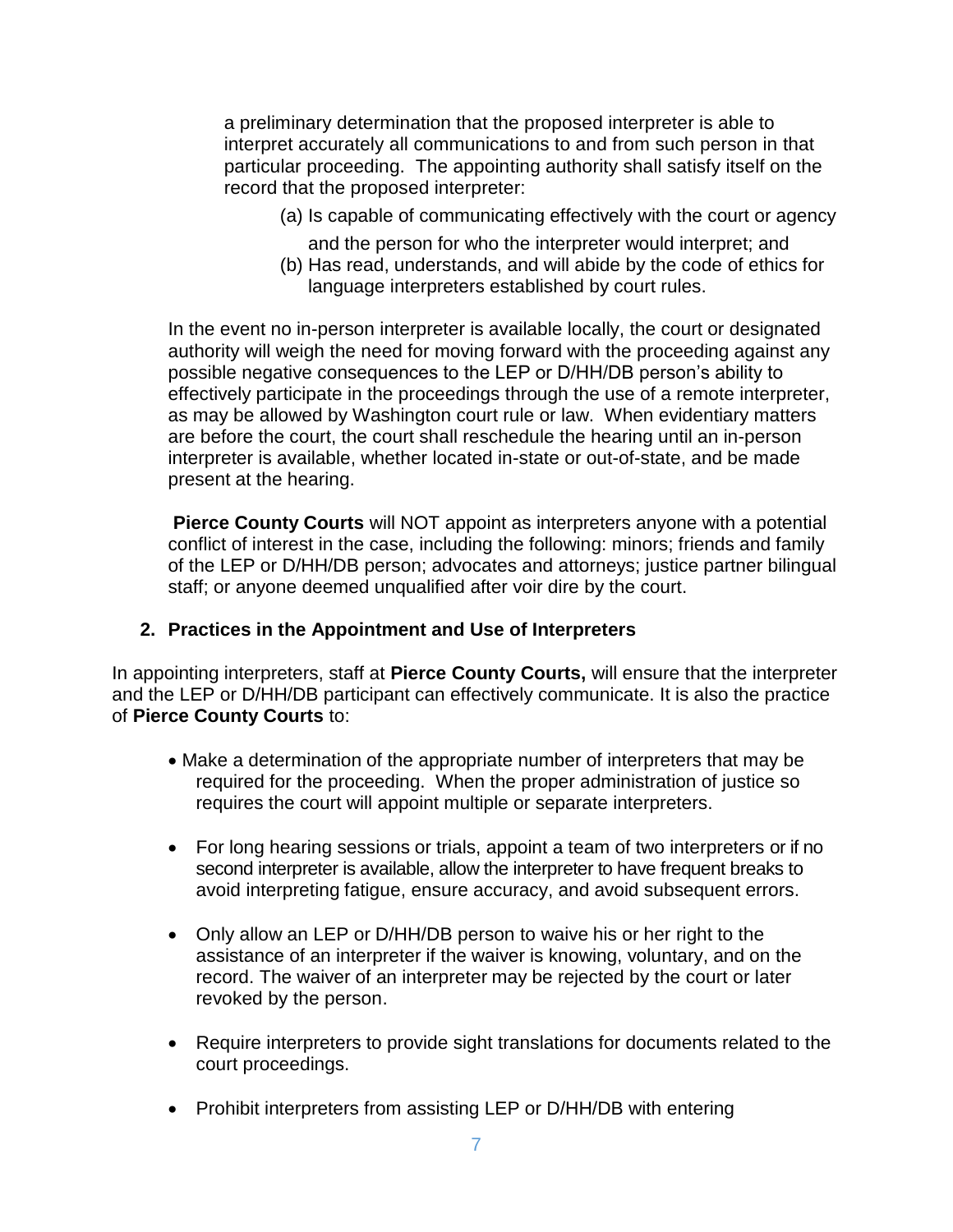a preliminary determination that the proposed interpreter is able to interpret accurately all communications to and from such person in that particular proceeding. The appointing authority shall satisfy itself on the record that the proposed interpreter:

(a) Is capable of communicating effectively with the court or agency

and the person for who the interpreter would interpret; and

(b) Has read, understands, and will abide by the code of ethics for language interpreters established by court rules.

In the event no in-person interpreter is available locally, the court or designated authority will weigh the need for moving forward with the proceeding against any possible negative consequences to the LEP or D/HH/DB person's ability to effectively participate in the proceedings through the use of a remote interpreter, as may be allowed by Washington court rule or law. When evidentiary matters are before the court, the court shall reschedule the hearing until an in-person interpreter is available, whether located in-state or out-of-state, and be made present at the hearing.

**Pierce County Courts** will NOT appoint as interpreters anyone with a potential conflict of interest in the case, including the following: minors; friends and family of the LEP or D/HH/DB person; advocates and attorneys; justice partner bilingual staff; or anyone deemed unqualified after voir dire by the court.

#### **2. Practices in the Appointment and Use of Interpreters**

In appointing interpreters, staff at **Pierce County Courts,** will ensure that the interpreter and the LEP or D/HH/DB participant can effectively communicate. It is also the practice of **Pierce County Courts** to:

- Make a determination of the appropriate number of interpreters that may be required for the proceeding. When the proper administration of justice so requires the court will appoint multiple or separate interpreters.
- For long hearing sessions or trials, appoint a team of two interpreters or if no second interpreter is available, allow the interpreter to have frequent breaks to avoid interpreting fatigue, ensure accuracy, and avoid subsequent errors.
- Only allow an LEP or D/HH/DB person to waive his or her right to the assistance of an interpreter if the waiver is knowing, voluntary, and on the record. The waiver of an interpreter may be rejected by the court or later revoked by the person.
- Require interpreters to provide sight translations for documents related to the court proceedings.
- Prohibit interpreters from assisting LEP or D/HH/DB with entering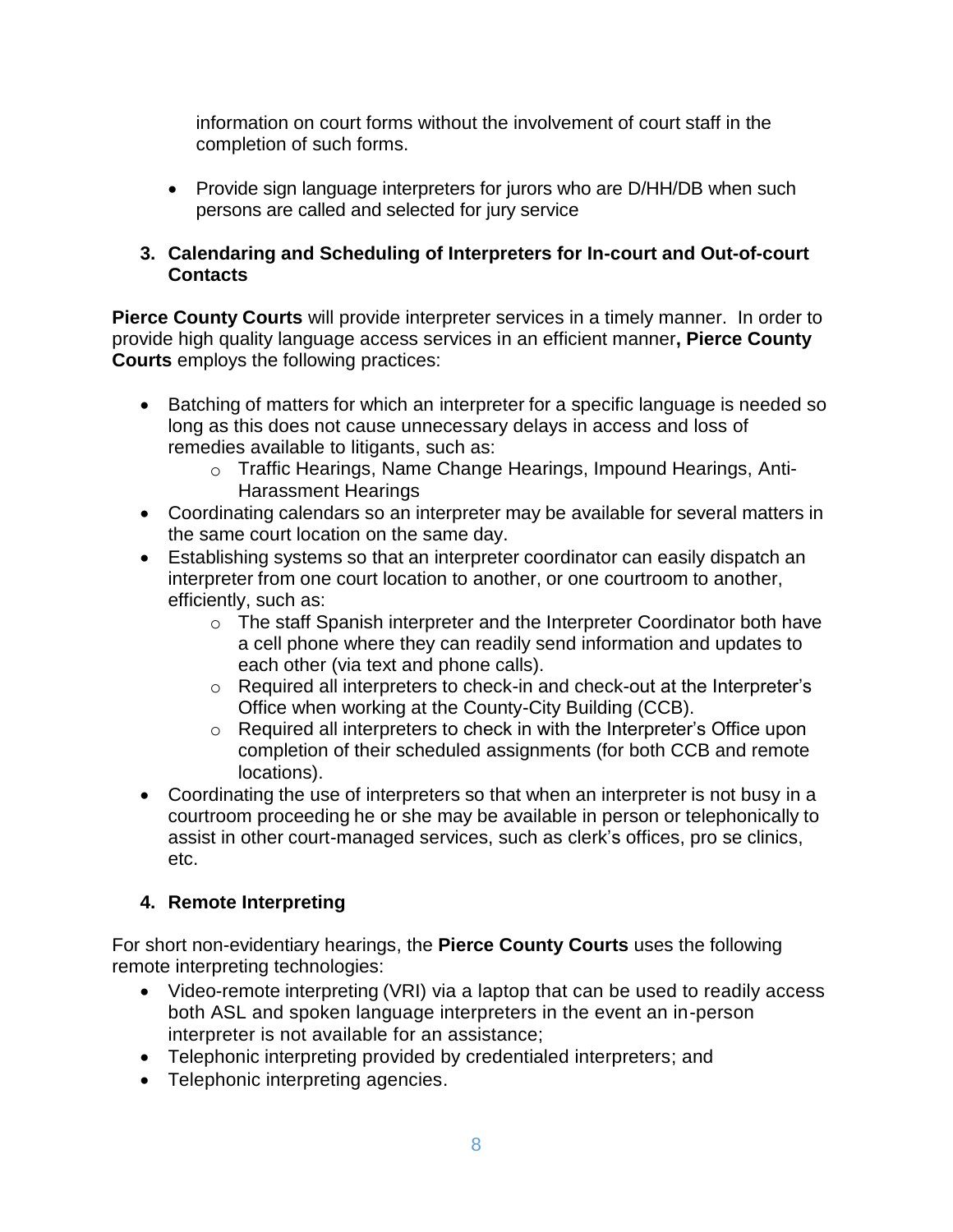information on court forms without the involvement of court staff in the completion of such forms.

• Provide sign language interpreters for jurors who are D/HH/DB when such persons are called and selected for jury service

### **3. Calendaring and Scheduling of Interpreters for In-court and Out-of-court Contacts**

**Pierce County Courts** will provide interpreter services in a timely manner. In order to provide high quality language access services in an efficient manner**, Pierce County Courts** employs the following practices:

- Batching of matters for which an interpreter for a specific language is needed so long as this does not cause unnecessary delays in access and loss of remedies available to litigants, such as:
	- o Traffic Hearings, Name Change Hearings, Impound Hearings, Anti-Harassment Hearings
- Coordinating calendars so an interpreter may be available for several matters in the same court location on the same day.
- Establishing systems so that an interpreter coordinator can easily dispatch an interpreter from one court location to another, or one courtroom to another, efficiently, such as:
	- o The staff Spanish interpreter and the Interpreter Coordinator both have a cell phone where they can readily send information and updates to each other (via text and phone calls).
	- o Required all interpreters to check-in and check-out at the Interpreter's Office when working at the County-City Building (CCB).
	- o Required all interpreters to check in with the Interpreter's Office upon completion of their scheduled assignments (for both CCB and remote locations).
- Coordinating the use of interpreters so that when an interpreter is not busy in a courtroom proceeding he or she may be available in person or telephonically to assist in other court-managed services, such as clerk's offices, pro se clinics, etc.

## **4. Remote Interpreting**

For short non-evidentiary hearings, the **Pierce County Courts** uses the following remote interpreting technologies:

- Video-remote interpreting (VRI) via a laptop that can be used to readily access both ASL and spoken language interpreters in the event an in-person interpreter is not available for an assistance;
- Telephonic interpreting provided by credentialed interpreters; and
- Telephonic interpreting agencies.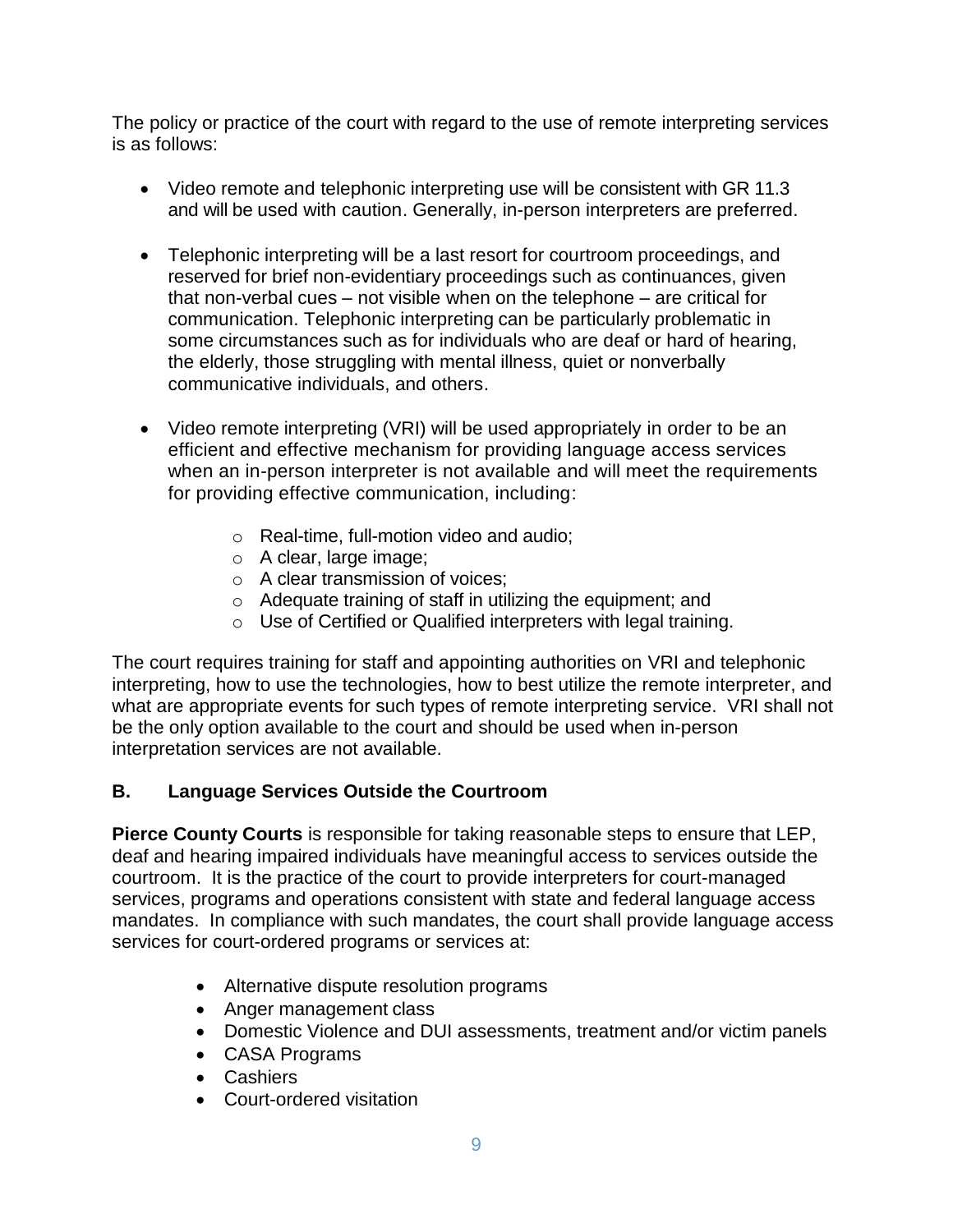The policy or practice of the court with regard to the use of remote interpreting services is as follows:

- Video remote and telephonic interpreting use will be consistent with GR 11.3 and will be used with caution. Generally, in-person interpreters are preferred.
- Telephonic interpreting will be a last resort for courtroom proceedings, and reserved for brief non-evidentiary proceedings such as continuances, given that non-verbal cues – not visible when on the telephone – are critical for communication. Telephonic interpreting can be particularly problematic in some circumstances such as for individuals who are deaf or hard of hearing, the elderly, those struggling with mental illness, quiet or nonverbally communicative individuals, and others.
- Video remote interpreting (VRI) will be used appropriately in order to be an efficient and effective mechanism for providing language access services when an in-person interpreter is not available and will meet the requirements for providing effective communication, including:
	- o Real-time, full-motion video and audio;
	- o A clear, large image;
	- o A clear transmission of voices;
	- o Adequate training of staff in utilizing the equipment; and
	- o Use of Certified or Qualified interpreters with legal training.

The court requires training for staff and appointing authorities on VRI and telephonic interpreting, how to use the technologies, how to best utilize the remote interpreter, and what are appropriate events for such types of remote interpreting service. VRI shall not be the only option available to the court and should be used when in-person interpretation services are not available.

## **B. Language Services Outside the Courtroom**

**Pierce County Courts** is responsible for taking reasonable steps to ensure that LEP, deaf and hearing impaired individuals have meaningful access to services outside the courtroom. It is the practice of the court to provide interpreters for court-managed services, programs and operations consistent with state and federal language access mandates. In compliance with such mandates, the court shall provide language access services for court-ordered programs or services at:

- Alternative dispute resolution programs
- Anger management class
- Domestic Violence and DUI assessments, treatment and/or victim panels
- CASA Programs
- Cashiers
- Court-ordered visitation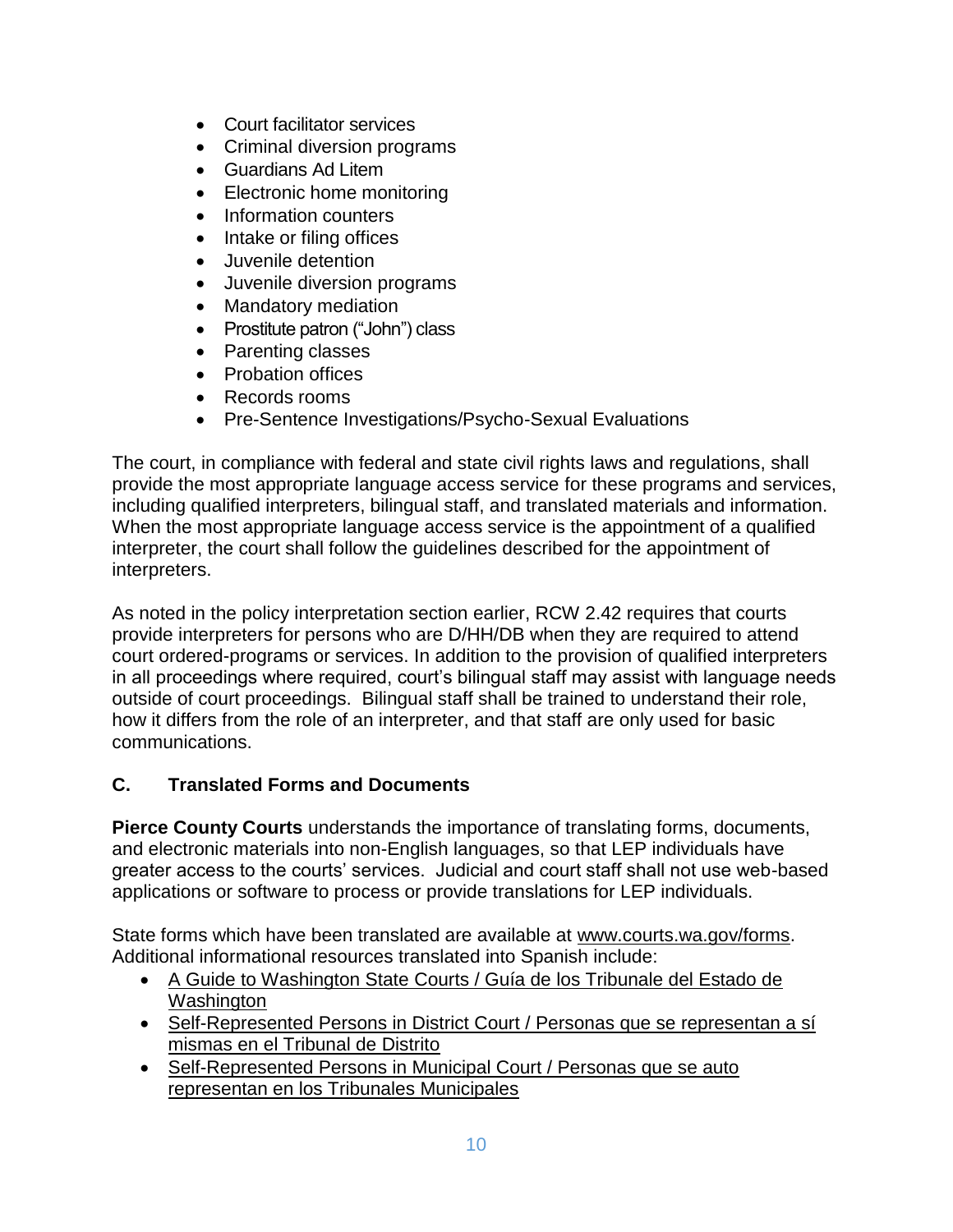- Court facilitator services
- Criminal diversion programs
- Guardians Ad Litem
- Electronic home monitoring
- Information counters
- Intake or filing offices
- Juvenile detention
- Juvenile diversion programs
- Mandatory mediation
- Prostitute patron ("John") class
- Parenting classes
- Probation offices
- Records rooms
- Pre-Sentence Investigations/Psycho-Sexual Evaluations

The court, in compliance with federal and state civil rights laws and regulations, shall provide the most appropriate language access service for these programs and services, including qualified interpreters, bilingual staff, and translated materials and information. When the most appropriate language access service is the appointment of a qualified interpreter, the court shall follow the guidelines described for the appointment of interpreters.

As noted in the policy interpretation section earlier, RCW 2.42 requires that courts provide interpreters for persons who are D/HH/DB when they are required to attend court ordered-programs or services. In addition to the provision of qualified interpreters in all proceedings where required, court's bilingual staff may assist with language needs outside of court proceedings. Bilingual staff shall be trained to understand their role, how it differs from the role of an interpreter, and that staff are only used for basic communications.

## **C. Translated Forms and Documents**

**Pierce County Courts** understands the importance of translating forms, documents, and electronic materials into non-English languages, so that LEP individuals have greater access to the courts' services. Judicial and court staff shall not use web-based applications or software to process or provide translations for LEP individuals.

State forms which have been translated are available at [www.courts.wa.gov/forms.](http://www.courts.wa.gov/forms) Additional informational resources translated into Spanish include:

- [A Guide to Washington State](http://www.courts.wa.gov/newsinfo/content/pdf/CourtGuide2011_spanish.pdf) Courts / [Guía de los Tribunale del Estado de](http://www.courts.wa.gov/newsinfo/content/pdf/CourtGuide2011_spanish.pdf)  **[Washington](http://www.courts.wa.gov/newsinfo/content/pdf/CourtGuide2011_spanish.pdf)**
- [Self-Represented Persons in District Court](http://www.courts.wa.gov/programs_orgs/pos_bja/ptc/documents/DistrictCourtProSeLitigantInformation_Spanish.pdf) / Personas que se representan a sí mismas en el Tribunal de Distrito
- [Self-Represented Persons in Municipal Court](http://www.courts.wa.gov/programs_orgs/pos_bja/ptc/documents/MunicipalCourtProSeLitigantInformation_Spanish.pdf) / Personas que se auto [representan en los Tribunales Municipales](http://www.courts.wa.gov/programs_orgs/pos_bja/ptc/documents/MunicipalCourtProSeLitigantInformation_Spanish.pdf)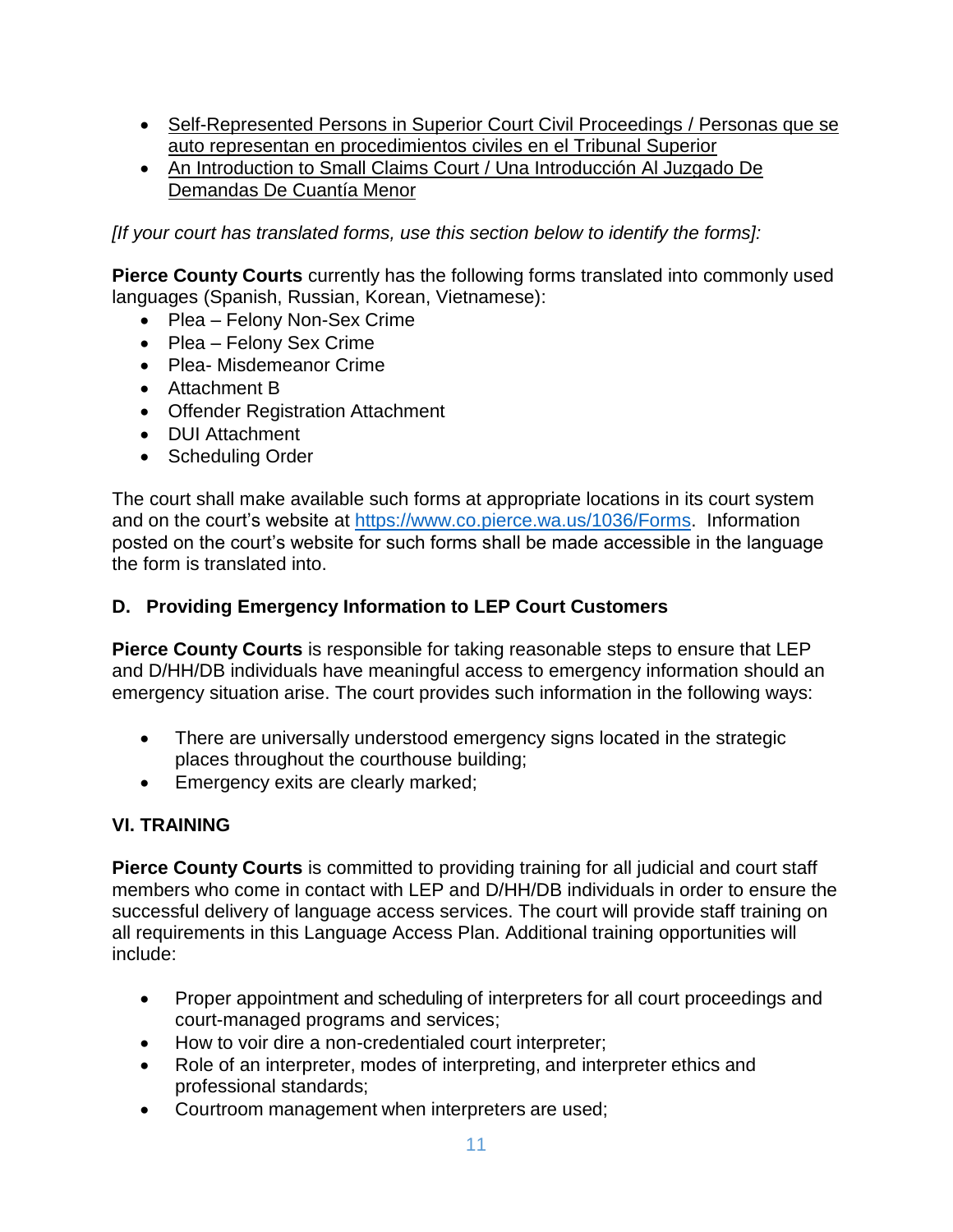- [Self-Represented Persons in Superior Court Civil Proceedings](http://www.courts.wa.gov/programs_orgs/pos_bja/ptc/documents/SuperiorCourtProSeLitigantInformation_Spanish.pdf) / Personas que se auto representan en procedimientos civiles en el Tribunal Superior
- [An Introduction to Small Claims Court](http://www.courts.wa.gov/newsinfo/resources/brochure_scc/smallclaimsSpanish.pdf) / [Una Introducción Al Juzgado De](http://www.courts.wa.gov/newsinfo/resources/brochure_scc/smallclaimsSpanish.pdf)  [Demandas De Cuantía Menor](http://www.courts.wa.gov/newsinfo/resources/brochure_scc/smallclaimsSpanish.pdf)

*[If your court has translated forms, use this section below to identify the forms]:*

**Pierce County Courts** currently has the following forms translated into commonly used languages (Spanish, Russian, Korean, Vietnamese):

- Plea Felony Non-Sex Crime
- Plea Felony Sex Crime
- Plea- Misdemeanor Crime
- Attachment B
- Offender Registration Attachment
- DUI Attachment
- Scheduling Order

The court shall make available such forms at appropriate locations in its court system and on the court's website at [https://www.co.pierce.wa.us/1036/Forms.](https://www.co.pierce.wa.us/1036/Forms) Information posted on the court's website for such forms shall be made accessible in the language the form is translated into.

### **D. Providing Emergency Information to LEP Court Customers**

**Pierce County Courts** is responsible for taking reasonable steps to ensure that LEP and D/HH/DB individuals have meaningful access to emergency information should an emergency situation arise. The court provides such information in the following ways:

- There are universally understood emergency signs located in the strategic places throughout the courthouse building;
- Emergency exits are clearly marked;

## **VI. TRAINING**

**Pierce County Courts** is committed to providing training for all judicial and court staff members who come in contact with LEP and D/HH/DB individuals in order to ensure the successful delivery of language access services. The court will provide staff training on all requirements in this Language Access Plan. Additional training opportunities will include:

- Proper appointment and scheduling of interpreters for all court proceedings and court-managed programs and services;
- How to voir dire a non-credentialed court interpreter;
- Role of an interpreter, modes of interpreting, and interpreter ethics and professional standards;
- Courtroom management when interpreters are used;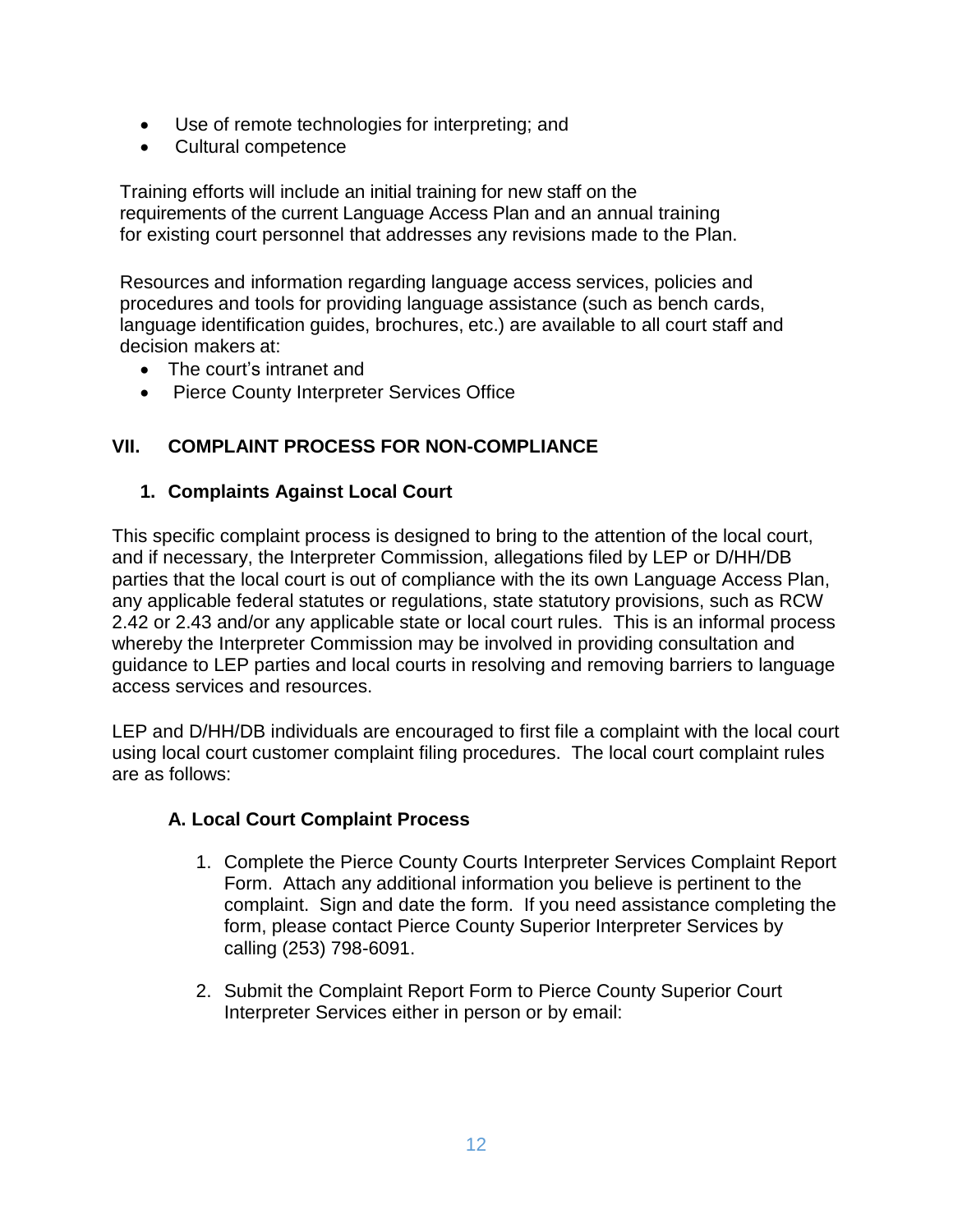- Use of remote technologies for interpreting; and
- Cultural competence

Training efforts will include an initial training for new staff on the requirements of the current Language Access Plan and an annual training for existing court personnel that addresses any revisions made to the Plan.

Resources and information regarding language access services, policies and procedures and tools for providing language assistance (such as bench cards, language identification guides, brochures, etc.) are available to all court staff and decision makers at:

- The court's intranet and
- Pierce County Interpreter Services Office

### **VII. COMPLAINT PROCESS FOR NON-COMPLIANCE**

### **1. Complaints Against Local Court**

This specific complaint process is designed to bring to the attention of the local court, and if necessary, the Interpreter Commission, allegations filed by LEP or D/HH/DB parties that the local court is out of compliance with the its own Language Access Plan, any applicable federal statutes or regulations, state statutory provisions, such as RCW 2.42 or 2.43 and/or any applicable state or local court rules. This is an informal process whereby the Interpreter Commission may be involved in providing consultation and guidance to LEP parties and local courts in resolving and removing barriers to language access services and resources.

LEP and D/HH/DB individuals are encouraged to first file a complaint with the local court using local court customer complaint filing procedures. The local court complaint rules are as follows:

#### **A. Local Court Complaint Process**

- 1. Complete the Pierce County Courts Interpreter Services Complaint Report Form. Attach any additional information you believe is pertinent to the complaint. Sign and date the form. If you need assistance completing the form, please contact Pierce County Superior Interpreter Services by calling (253) 798-6091.
- 2. Submit the Complaint Report Form to Pierce County Superior Court Interpreter Services either in person or by email: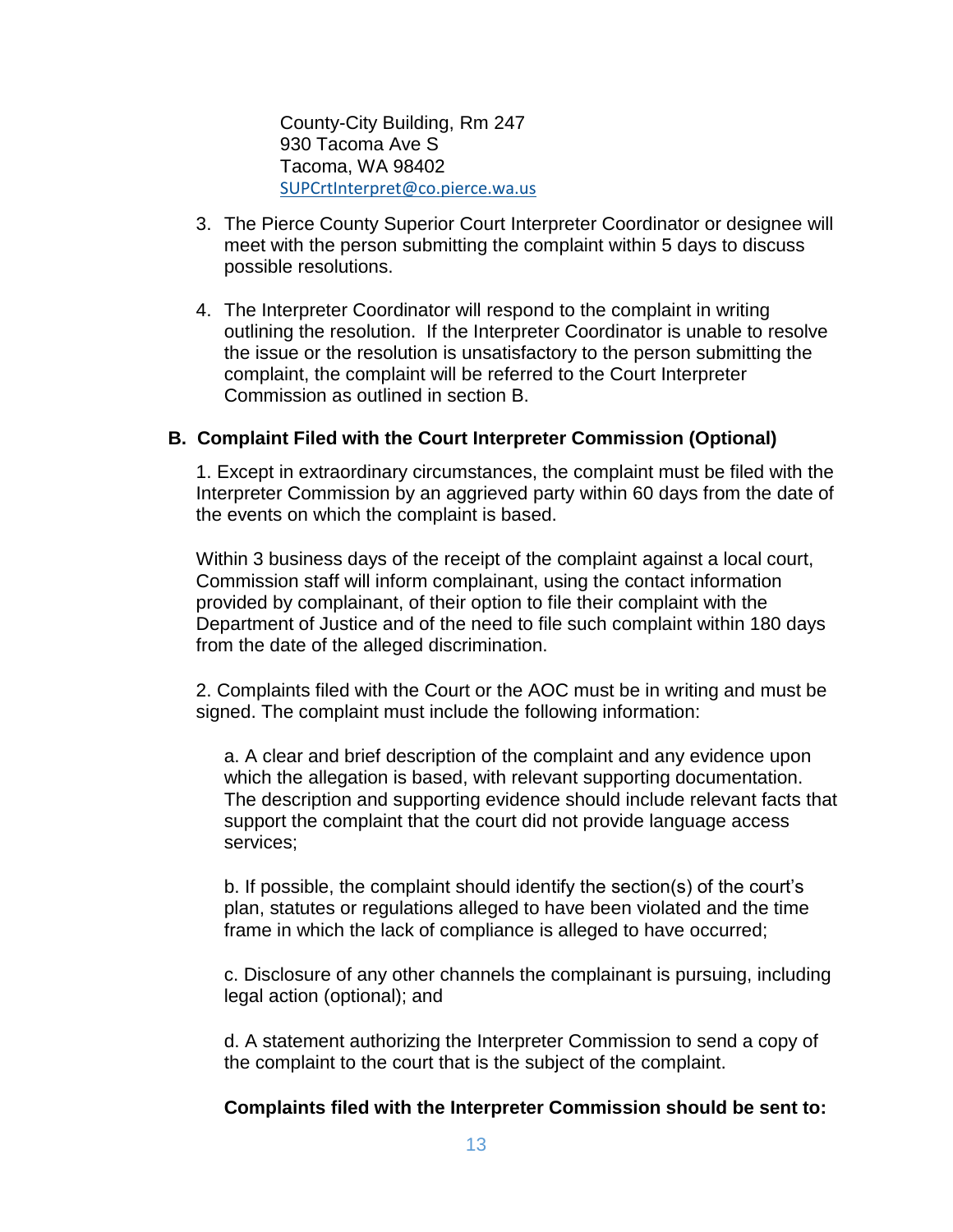County-City Building, Rm 247 930 Tacoma Ave S Tacoma, WA 98402 [SUPCrtInterpret@co.pierce.wa.us](mailto:SUPCrtInterpret%20%3cSUPCrtInterpret@co.pierce.wa.us%3e)

- 3. The Pierce County Superior Court Interpreter Coordinator or designee will meet with the person submitting the complaint within 5 days to discuss possible resolutions.
- 4. The Interpreter Coordinator will respond to the complaint in writing outlining the resolution. If the Interpreter Coordinator is unable to resolve the issue or the resolution is unsatisfactory to the person submitting the complaint, the complaint will be referred to the Court Interpreter Commission as outlined in section B.

### **B. Complaint Filed with the Court Interpreter Commission (Optional)**

1. Except in extraordinary circumstances, the complaint must be filed with the Interpreter Commission by an aggrieved party within 60 days from the date of the events on which the complaint is based.

Within 3 business days of the receipt of the complaint against a local court, Commission staff will inform complainant, using the contact information provided by complainant, of their option to file their complaint with the Department of Justice and of the need to file such complaint within 180 days from the date of the alleged discrimination.

2. Complaints filed with the Court or the AOC must be in writing and must be signed. The complaint must include the following information:

a. A clear and brief description of the complaint and any evidence upon which the allegation is based, with relevant supporting documentation. The description and supporting evidence should include relevant facts that support the complaint that the court did not provide language access services;

b. If possible, the complaint should identify the section(s) of the court's plan, statutes or regulations alleged to have been violated and the time frame in which the lack of compliance is alleged to have occurred;

c. Disclosure of any other channels the complainant is pursuing, including legal action (optional); and

d. A statement authorizing the Interpreter Commission to send a copy of the complaint to the court that is the subject of the complaint.

**Complaints filed with the Interpreter Commission should be sent to:**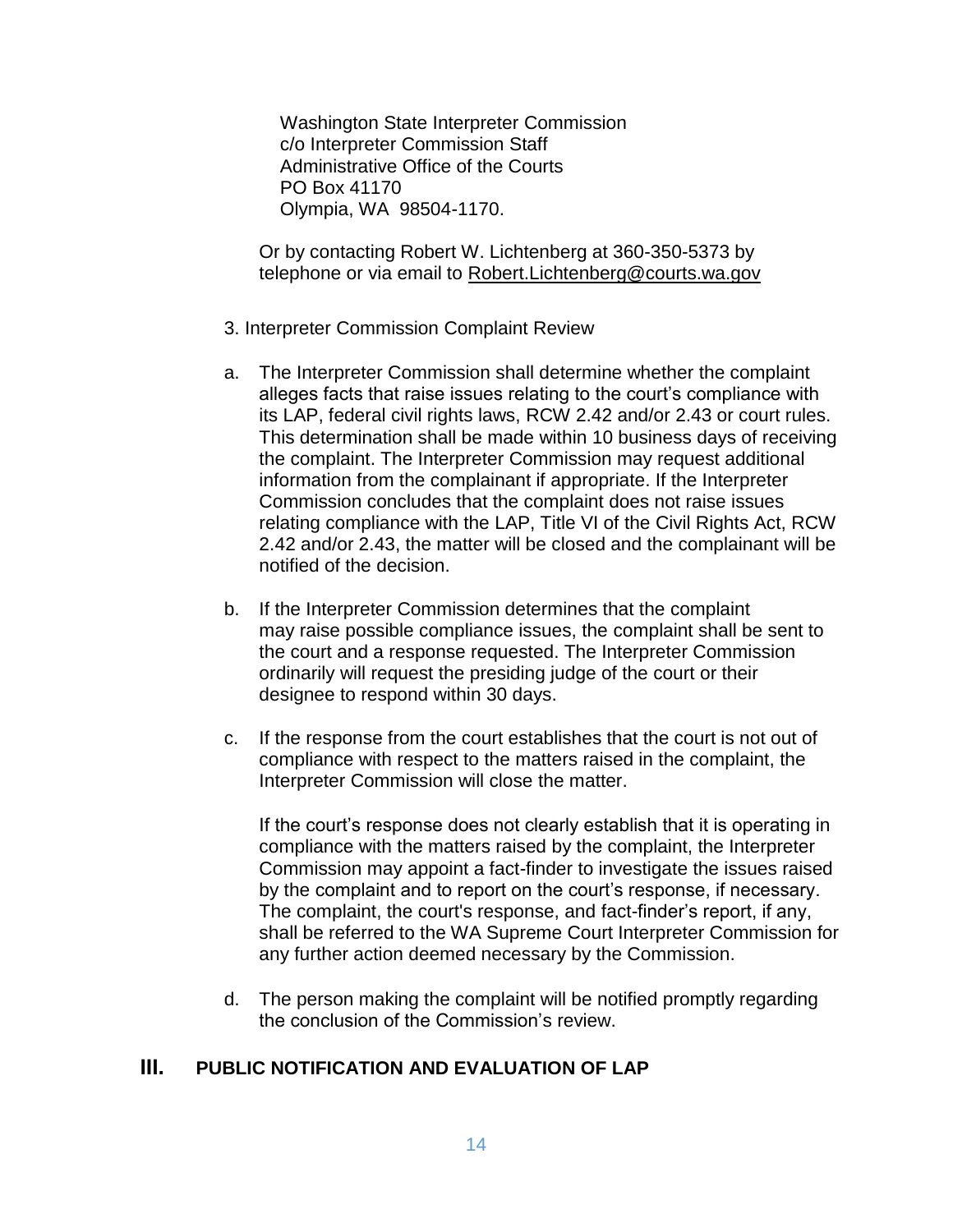Washington State Interpreter Commission c/o Interpreter Commission Staff Administrative Office of the Courts PO Box 41170 Olympia, WA 98504-1170.

Or by contacting Robert W. Lichtenberg at 360-350-5373 by telephone or via email to [Robert.Lichtenberg@courts.wa.gov](mailto:Robert.Lichtenberg@courts.wa.gov)

- 3. Interpreter Commission Complaint Review
- a. The Interpreter Commission shall determine whether the complaint alleges facts that raise issues relating to the court's compliance with its LAP, federal civil rights laws, RCW 2.42 and/or 2.43 or court rules. This determination shall be made within 10 business days of receiving the complaint. The Interpreter Commission may request additional information from the complainant if appropriate. If the Interpreter Commission concludes that the complaint does not raise issues relating compliance with the LAP, Title VI of the Civil Rights Act, RCW 2.42 and/or 2.43, the matter will be closed and the complainant will be notified of the decision.
- b. If the Interpreter Commission determines that the complaint may raise possible compliance issues, the complaint shall be sent to the court and a response requested. The Interpreter Commission ordinarily will request the presiding judge of the court or their designee to respond within 30 days.
- c. If the response from the court establishes that the court is not out of compliance with respect to the matters raised in the complaint, the Interpreter Commission will close the matter.

If the court's response does not clearly establish that it is operating in compliance with the matters raised by the complaint, the Interpreter Commission may appoint a fact-finder to investigate the issues raised by the complaint and to report on the court's response, if necessary. The complaint, the court's response, and fact-finder's report, if any, shall be referred to the WA Supreme Court Interpreter Commission for any further action deemed necessary by the Commission.

d. The person making the complaint will be notified promptly regarding the conclusion of the Commission's review.

### **III. PUBLIC NOTIFICATION AND EVALUATION OF LAP**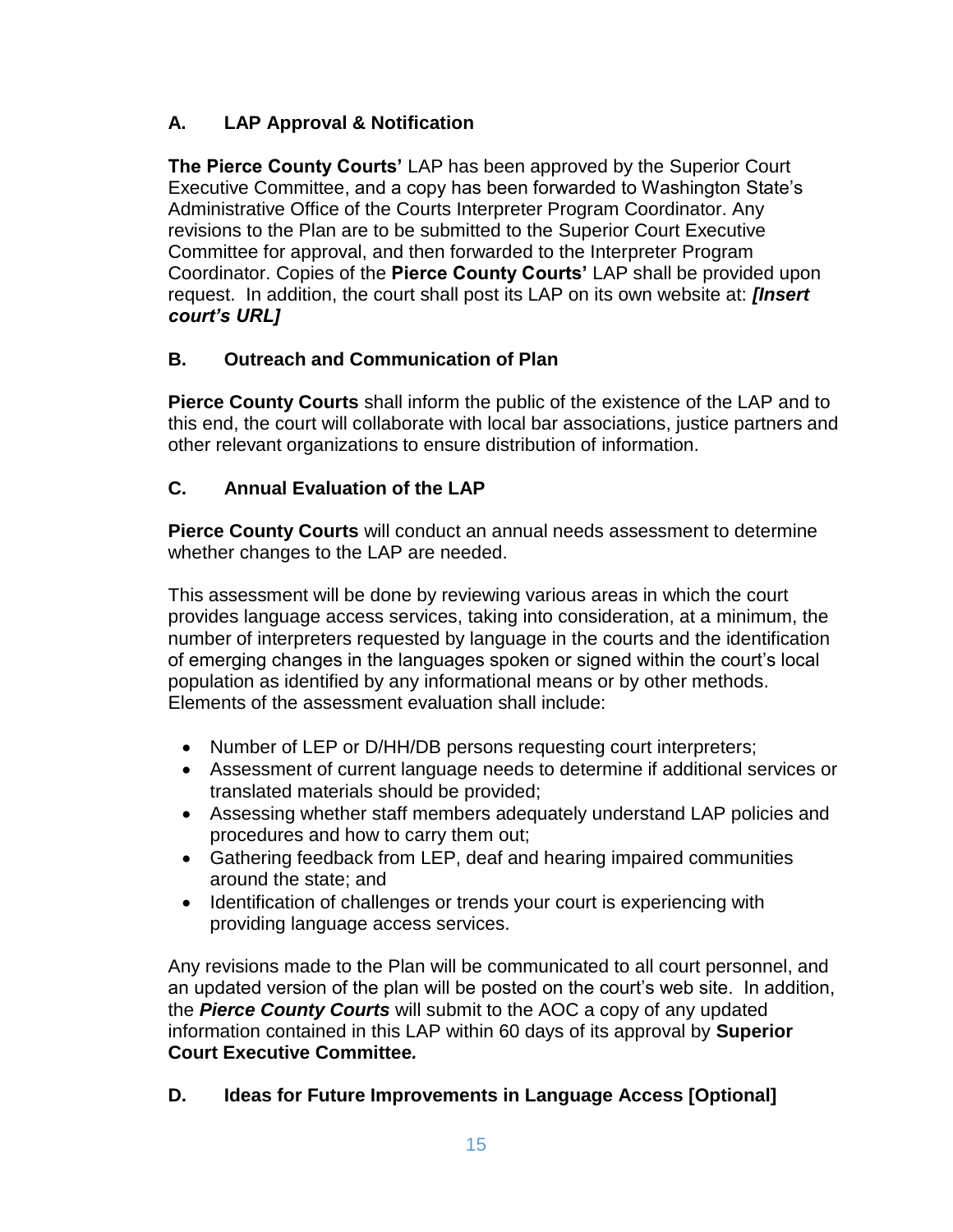## **A. LAP Approval & Notification**

**The Pierce County Courts'** LAP has been approved by the Superior Court Executive Committee, and a copy has been forwarded to Washington State's Administrative Office of the Courts Interpreter Program Coordinator. Any revisions to the Plan are to be submitted to the Superior Court Executive Committee for approval, and then forwarded to the Interpreter Program Coordinator. Copies of the **Pierce County Courts'** LAP shall be provided upon request. In addition, the court shall post its LAP on its own website at: *[Insert court's URL]*

## **B. Outreach and Communication of Plan**

**Pierce County Courts** shall inform the public of the existence of the LAP and to this end, the court will collaborate with local bar associations, justice partners and other relevant organizations to ensure distribution of information.

## **C. Annual Evaluation of the LAP**

**Pierce County Courts** will conduct an annual needs assessment to determine whether changes to the LAP are needed.

This assessment will be done by reviewing various areas in which the court provides language access services, taking into consideration, at a minimum, the number of interpreters requested by language in the courts and the identification of emerging changes in the languages spoken or signed within the court's local population as identified by any informational means or by other methods. Elements of the assessment evaluation shall include:

- Number of LEP or D/HH/DB persons requesting court interpreters;
- Assessment of current language needs to determine if additional services or translated materials should be provided;
- Assessing whether staff members adequately understand LAP policies and procedures and how to carry them out;
- Gathering feedback from LEP, deaf and hearing impaired communities around the state; and
- Identification of challenges or trends your court is experiencing with providing language access services.

Any revisions made to the Plan will be communicated to all court personnel, and an updated version of the plan will be posted on the court's web site. In addition, the *Pierce County Courts* will submit to the AOC a copy of any updated information contained in this LAP within 60 days of its approval by **Superior Court Executive Committee***.*

## **D. Ideas for Future Improvements in Language Access [Optional]**